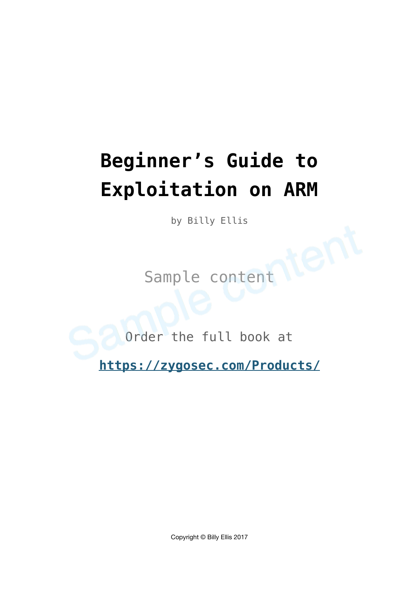# **Beginner's Guide to Exploitation on ARM**

by Billy Ellis

Sample content

Order the full book at

**<https://zygosec.com/Products/>**

Copyright © Billy Ellis 2017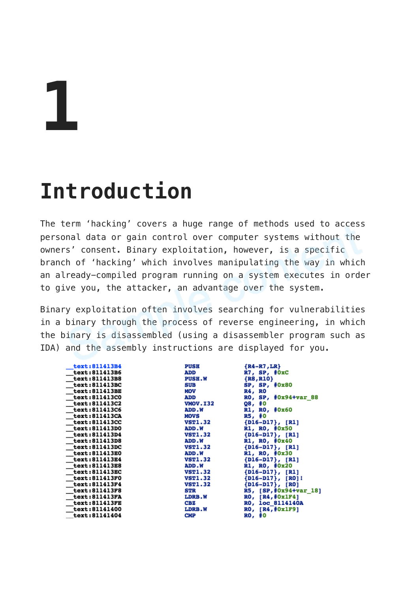# **1**

# **Introduction**

The term 'hacking' covers a huge range of methods used to access personal data or gain control over computer systems without the owners' consent. Binary exploitation, however, is a specific branch of 'hacking' which involves manipulating the way in which an already-compiled program running on a system executes in order to give you, the attacker, an advantage over the system.

Binary exploitation often involves searching for vulnerabilities in a binary through the process of reverse engineering, in which the binary is disassembled (using a disassembler program such as IDA) and the assembly instructions are displayed for you.

| text:811413B4        | <b>PUSH</b>     | ${R4 - R7, LR}$          |
|----------------------|-----------------|--------------------------|
| text:811413B6        | ADD             | R7, SP, #0xC             |
| text:811413B8        | <b>PUSH.W</b>   | ${R8, R10}$              |
| text:811413BC        | SUB             | SP, SP, #0x80            |
| text:811413BE        | MOV             | R4, RO                   |
| text:811413C0        | ADD             | RO, SP, #0x94+var 88     |
| text:811413C2        | <b>VMOV.I32</b> | Q8, #0                   |
| text:811413C6        | ADD.W           | R1, R0, #0x60            |
| text:811413CA        | MOVS            | R5, #0                   |
| text:811413CC        | <b>VST1.32</b>  | ${D16-D17}$ , [R1]       |
| text:811413D0        | <b>ADD.W</b>    | R1, R0, #0x50            |
| text:811413D4        | <b>VST1.32</b>  | ${D16-D17}$ , [R1]       |
| text:811413D8        | <b>ADD.W</b>    | R1, R0, #0x40            |
| text:811413DC        | <b>VST1.32</b>  | ${D16-D17}$ , [R1]       |
| text:811413E0        | <b>ADD.W</b>    | R1, R0, #0x30            |
| text:811413E4        | <b>VST1.32</b>  | ${D16-D17}$ , [R1]       |
| text:811413E8        | <b>ADD.W</b>    | R1, R0, #0x20            |
| text:811413EC        | <b>VST1.32</b>  | ${D16-D17}$ , [R1]       |
| text:811413F0        | <b>VST1.32</b>  | $\{D16-D17\}$ , $[RO]$ ! |
| text:811413F4        | <b>VST1.32</b>  | $\{D16-D17\}$ , $[RO]$   |
| text:811413F8        | STR             | R5, [SP,#0x94+var 18]    |
| text:811413FA        | <b>LDRB.W</b>   | RO, [R4, #0x1F4]         |
| <b>text:811413FE</b> | CBZ             | <b>RO, loc 8114140A</b>  |
| <b>text:81141400</b> | <b>LDRB.W</b>   | RO, [R4, #0x1F9]         |
| text:81141404        | CMP             | RO, #0                   |
|                      |                 |                          |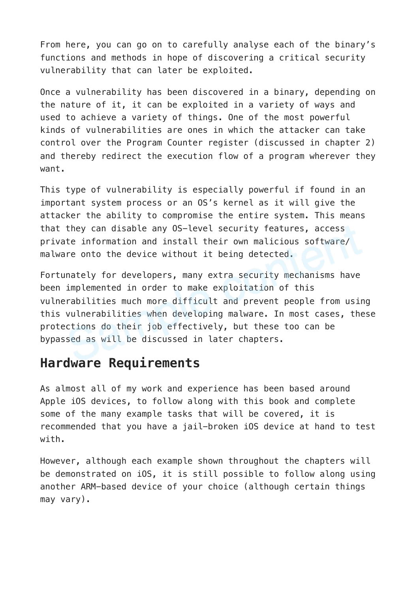From here, you can go on to carefully analyse each of the binary's functions and methods in hope of discovering a critical security vulnerability that can later be exploited.

Once a vulnerability has been discovered in a binary, depending on the nature of it, it can be exploited in a variety of ways and used to achieve a variety of things. One of the most powerful kinds of vulnerabilities are ones in which the attacker can take control over the Program Counter register (discussed in chapter 2) and thereby redirect the execution flow of a program wherever they want.

This type of vulnerability is especially powerful if found in an important system process or an OS's kernel as it will give the attacker the ability to compromise the entire system. This means that they can disable any OS-level security features, access private information and install their own malicious software/ malware onto the device without it being detected.

Fortunately for developers, many extra security mechanisms have been implemented in order to make exploitation of this vulnerabilities much more difficult and prevent people from using this vulnerabilities when developing malware. In most cases, these protections do their job effectively, but these too can be bypassed as will be discussed in later chapters.

### **Hardware Requirements**

As almost all of my work and experience has been based around Apple iOS devices, to follow along with this book and complete some of the many example tasks that will be covered, it is recommended that you have a jail-broken iOS device at hand to test with.

However, although each example shown throughout the chapters will be demonstrated on iOS, it is still possible to follow along using another ARM-based device of your choice (although certain things may vary).